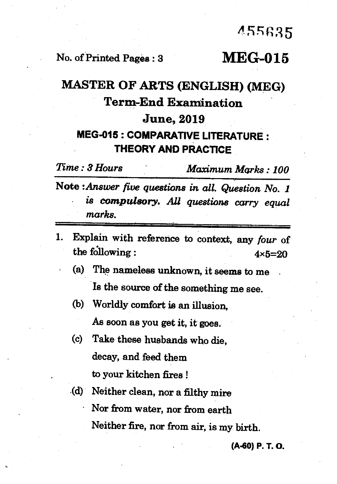## **ASsR35**

## No. of Printed Pages : 3 **MEG-015**

## **MASTER OF ARTS (ENGLISH) (MEG) Term-End Examination June, 2019 MEG-015 : COMPARATIVE LITERATURE : THEORY AND PRACTICE**

*Time : 8 Hours Maximum Marks : 100*  Note *:Answer five questions in all. Question No. 1 • is compulsory. All questions carry equal marks.* 

- 1. Explain with reference to context, any *four* of the following :  $4 \times 5 = 20$ 
	- (a) The nameless unknown, it seems to me Is the source of the something me see.
	- (b) Worldly comfort is an illusion,

As soon as you get it, it goes.

- (c) Take these husbands who die, decay, and feed them to your kitchen fires !
- (d) Neither clean, nor a filthy mire Nor from water, nor from earth Neither fire, nor from air, is my birth.

**(A-430) P. T. O.**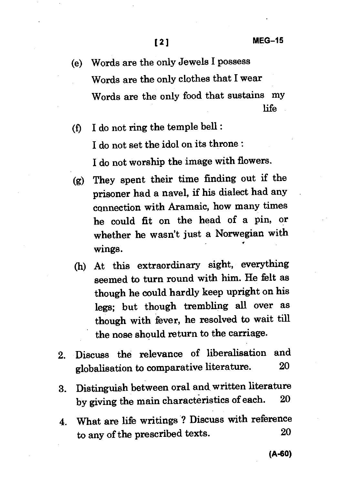- (e) Words are the only Jewels I possess Words are the only clothes that I wear Words are the only food that sustains my life
- (f) I do not ring the temple bell : I do not set the idol on its throne : I do not worship the image with flowers.
- (g) They spent their time finding out if the prisoner had a navel, if his dialect had any connection with Aramaic, how many times he could fit on the head of a pin, or whether he wasn't just a Norwegian with wings.
- (h) At this extraordinary sight, everything seemed to turn round with him. He felt as though he could hardly keep upright on his legs; but though trembling all over as though with fever, he resolved to wait till the nose should return to the carriage.
- 2. Discuss the relevance of liberalisation and globalisation to comparative literature. 20
- 3. Distinguish between oral and written literature by giving the main characteristics of each. 20
- 4. What are life writings ? Discuss with reference to any of the prescribed texts. 20

**(A-60)**